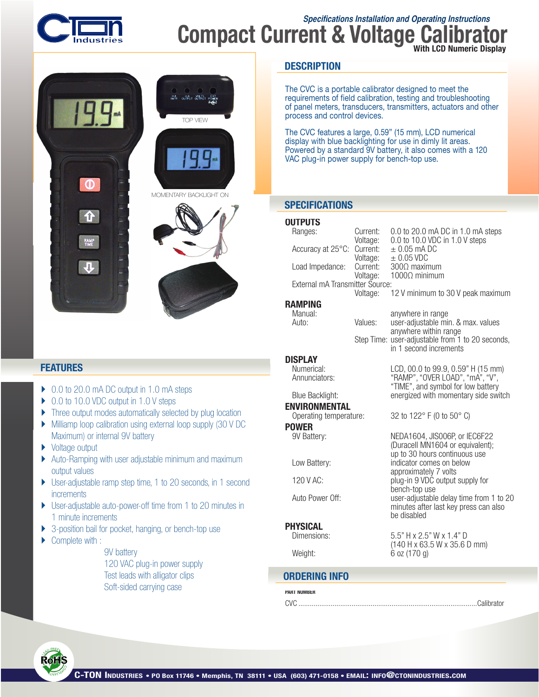

## **Specifications Installation and Operating Instructions Compact Current & Voltage** With LCD Numeric Display



### **FEATURES**

- ▶ 0.0 to 20.0 mA DC output in 1.0 mA steps
- ▶ 0.0 to 10.0 VDC output in 1.0 V steps
- Three output modes automatically selected by plug location
- } Milliamp loop calibration using external loop supply (30 V DC Maximum) or internal 9V battery
- ▶ Voltage output
- } Auto-Ramping with user adjustable minimum and maximum output values
- ▶ User-adjustable ramp step time, 1 to 20 seconds, in 1 second **increments**
- ▶ User-adjustable auto-power-off time from 1 to 20 minutes in 1 minute increments
- } 3-position bail for pocket, hanging, or bench-top use
- Complete with :

9V battery 120 VAC plug-in power supply Test leads with alligator clips Soft-sided carrying case

### **DESCRIPTION**

The CVC is a portable calibrator designed to meet the requirements of field calibration, testing and troubleshooting of panel meters, transducers, transmitters, actuators and other process and control devices.

The CVC features a large, 0.59" (15 mm), LCD numerical display with blue backlighting for use in dimly lit areas. Powered by a standard 9V battery, it also comes with a 120 VAC plug-in power supply for bench-top use.

### **SPECIFICATIONS**

#### **OUTPUTS**<br>Ranges: Current:  $0.0$  to 20.0 mA DC in 1.0 mA steps<br>Voltage:  $0.0$  to 10.0 VDC in 1.0 V steps 0.0 to 10.0 VDC in 1.0 V steps<br> $\pm$  0.05 mA DC Accuracy at 25°C: Current:<br>:Voltage  $\pm$  0.05 VDC<br>300 $\Omega$  maximum Load Impedance: Current:<br>:Voltage 1000Ω minimum External mA Transmitter Source: Voltage: 12 V minimum to 30 V peak maximum **RAMPING**<br>
Manual: **Manual:** anywhere in range<br>
Auto: **Values:** user-adjustable mi Values: user-adjustable min. & max. values anywhere within range Step Time: user-adjustable from 1 to 20 seconds, in 1 second increments **DISPLAY**<br>
Numerical: Numerical: LCD, 00.0 to 99.9, 0.59" H (15 mm) "RAMP", "OVER LOAD", "mA", "V", "TIME", and symbol for low battery Blue Backlight: energized with momentary side switch **ENVIRONMENTAL**<br>Operating temperature: 32 to 122 $\degree$  F (0 to 50 $\degree$  C) **POWER**<br>9V Battery: NEDA1604, JIS006P, or IEC6F22 (Duracell MN1604 or equivalent);<br>
up to 30 hours continuous use

Low Battery: **Example 20** indicator comes on below approximately 7 volts<br>approximately 7 volts<br>plug-in 9 VDC output plug-in 9 VDC output supply for bench-top use<br>Auto Power Off: where the suser-adiustable user-adjustable delay time from 1 to 20 minutes after last key press can also be disabled

5.5" H x 2.5" W x 1.4" D

 $6$  oz (170 g)

# **PHYSICAL**<br>Dimensions:

(140 H x 63.5 W x 35.6 D mm)<br>Weight: 6 oz (170 g)

### **ORDERING INFO**

#### PART NUMBER

CVC ..............................................................................................Calibrator